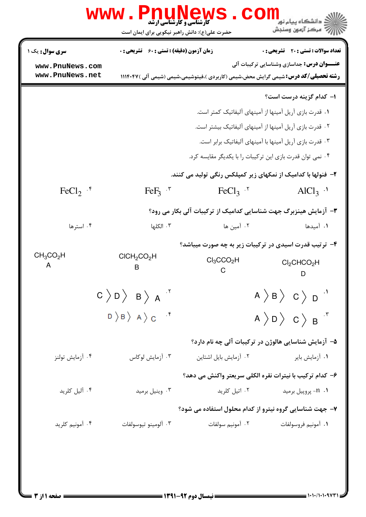|                                    | WWW . PI<br>حضرت علی(ع): دانش راهبر نیکویی برای ایمان است                                                                                                 | <b>کارشناسی و کارشناسی ارشد</b>                                  | ن دانشگاه پيام نو <mark>ر</mark><br>ر آمرڪز آزمون وسنڊش                                                                                         |  |  |  |
|------------------------------------|-----------------------------------------------------------------------------------------------------------------------------------------------------------|------------------------------------------------------------------|-------------------------------------------------------------------------------------------------------------------------------------------------|--|--|--|
| <b>سری سوال :</b> یک ۱             | <b>زمان آزمون (دقیقه) : تستی : 60 گشریحی : 0</b>                                                                                                          |                                                                  | <b>تعداد سوالات : تستی : 20 ۔ تشریحی : 0</b>                                                                                                    |  |  |  |
| www.PnuNews.com<br>www.PnuNews.net |                                                                                                                                                           |                                                                  | <b>عنـــوان درس:</b> جداسازی وشناسایی ترکیبات آلی<br><b>رشته تحصیلی/کد درس:</b> شیمی گرایش محض،شیمی (کاربردی )،فیتوشیمی،شیمی (شیمی آلی )۱۱۱۴۰۴۷ |  |  |  |
|                                    |                                                                                                                                                           |                                                                  | ۱– کدام گزینه درست است؟                                                                                                                         |  |  |  |
|                                    |                                                                                                                                                           |                                                                  | ۰۱ قدرت بازی آریل آمینها از آمینهای آلیفاتیک کمتر است.                                                                                          |  |  |  |
|                                    |                                                                                                                                                           | ۰۲ قدرت بازی آریل آمینها از آمینهای آلیفاتیک بیشتر است.          |                                                                                                                                                 |  |  |  |
|                                    | ۰۳ قدرت بازی آریل آمینها با آمینهای آلیفاتیک برابر است.                                                                                                   |                                                                  |                                                                                                                                                 |  |  |  |
|                                    |                                                                                                                                                           |                                                                  | ۰۴ نمی توان قدرت بازی این ترکیبات را با یکدیگر مقایسه کرد.                                                                                      |  |  |  |
|                                    |                                                                                                                                                           |                                                                  | ۲- فنولها با کدامیک از نمکهای زیر کمپلکس رنگی تولید می کنند.                                                                                    |  |  |  |
| $FeCl2$ $\cdot$ <sup>6</sup>       | $FeF3$ $\cdot$                                                                                                                                            | $FeCl3$ .                                                        | $AlCl3$ .                                                                                                                                       |  |  |  |
|                                    |                                                                                                                                                           | ۳- آزمایش هینزبرگ جهت شناسایی کدامیک از ترکیبات آلی بکار می رود؟ |                                                                                                                                                 |  |  |  |
| ۰۴ استرها                          | ۰۳ الکلها                                                                                                                                                 | ۰۲ آمین ها                                                       | ٠١. آميدها                                                                                                                                      |  |  |  |
|                                    |                                                                                                                                                           | ۴- ترتیب قدرت اسیدی در ترکیبات زیر به چه صورت میباشد؟            |                                                                                                                                                 |  |  |  |
| $CH_3CO_2H$<br>A                   | CICH <sub>2</sub> CO <sub>2</sub> H<br>B                                                                                                                  | $Cl_3CCO_2H$                                                     | $Cl_2CHCO_2H$<br>D                                                                                                                              |  |  |  |
|                                    | $C \nbrace D \nbrace B \nbrace A$                                                                                                                         | $A \nbrace B \nbrace C \nbrace D$                                |                                                                                                                                                 |  |  |  |
|                                    | $\begin{array}{c} \texttt{D} \ \texttt{D} \ \texttt{B} \ \texttt{A} \ \texttt{C} \end{array} \quad \begin{array}{c} \texttt{A} \\ \texttt{C} \end{array}$ |                                                                  | $A \rangle D \rangle C \rangle B$                                                                                                               |  |  |  |
|                                    |                                                                                                                                                           |                                                                  | ۵– آزمایش شناسایی هالوژن در ترکیبات آلی چه نام دارد؟                                                                                            |  |  |  |
| ۰۴ آزمایش تولنز                    | ۰۳ آزمایش لوکاس                                                                                                                                           | ۰۲ آزمایش بایل اشتاین                                            | ۰۱ آزمایش بایر                                                                                                                                  |  |  |  |
|                                    |                                                                                                                                                           |                                                                  | ۶– کدام ترکیب با نیترات نقره الکلی سریعتر واکنش می دهد؟                                                                                         |  |  |  |
| ۰۴ آلیل کلرید                      | ۰۳ وینیل برمید                                                                                                                                            | ۰۲ اتیل کلرید                                                    | 1. n- پروپيل برميد                                                                                                                              |  |  |  |
|                                    |                                                                                                                                                           | ۷- جهت شناسایی گروه نیترو از کدام محلول استفاده می شود؟          |                                                                                                                                                 |  |  |  |
| ۰۴ آمونیم کلرید                    | ۰۳ آلومينو تيوسولفات                                                                                                                                      | ٢. آمونيم سولفات                                                 | ٠١. آمونيم فروسولفات                                                                                                                            |  |  |  |
|                                    |                                                                                                                                                           |                                                                  |                                                                                                                                                 |  |  |  |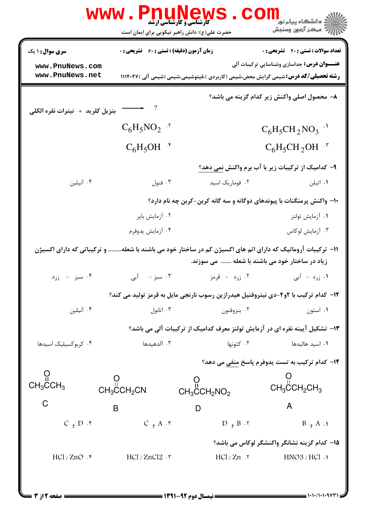|                                                                                                                                                              | <b>WWW</b>                                                   | <b>کارشناسی و کارشناسی ارشد</b><br>حضرت علی(ع): دانش راهبر نیکویی برای ایمان است | ر دانشگاه پيام نور<br>ا∛ مرکز آزمون وسنجش                                                                                                       |  |  |
|--------------------------------------------------------------------------------------------------------------------------------------------------------------|--------------------------------------------------------------|----------------------------------------------------------------------------------|-------------------------------------------------------------------------------------------------------------------------------------------------|--|--|
| <b>سری سوال : ۱ یک</b>                                                                                                                                       | <b>زمان آزمون (دقیقه) : تستی : 60 ٪ تشریحی : 0</b>           |                                                                                  | <b>تعداد سوالات : تستی : 20 ٪ تشریحی : 0</b>                                                                                                    |  |  |
| www.PnuNews.com<br>www.PnuNews.net                                                                                                                           |                                                              |                                                                                  | <b>عنـــوان درس:</b> جداسازی وشناسایی ترکیبات آلی<br><b>رشته تحصیلی/کد درس:</b> شیمی گرایش محض،شیمی (کاربردی )،فیتوشیمی،شیمی (شیمی آلی )۱۱۱۴۰۴۷ |  |  |
| بنزيل كلريد + نيترات نقره الكلى                                                                                                                              | $\longrightarrow$ ?                                          |                                                                                  | ۸– محصول اصلی واکنش زیر کدام گزینه می باشد؟                                                                                                     |  |  |
|                                                                                                                                                              | $C_6H_5NO_2$ '                                               |                                                                                  | $C_6H_5CH_2NO_3$ <sup>.</sup>                                                                                                                   |  |  |
|                                                                                                                                                              | $C_6H_5OH$ .*                                                |                                                                                  | $C_6H_5CH_2OH$ .*                                                                                                                               |  |  |
|                                                                                                                                                              |                                                              |                                                                                  | ۹– کدامیک از ترکیبات زیر با آب برم واکنش <u>نمی</u> دهد؟                                                                                        |  |  |
| ۰۴ آنیلین                                                                                                                                                    | ۰۳ فنول                                                      | ۰۲ فوماریک اسید                                                                  | ۰۱ اتیلن                                                                                                                                        |  |  |
| ∙۱- واکنش پرمنگنات با پیوندهای دوگانه و سه گانه کربن-کربن چه نام دارد؟                                                                                       |                                                              |                                                                                  |                                                                                                                                                 |  |  |
|                                                                                                                                                              | ۰۲ آزمایش بایر                                               |                                                                                  | ۰۱ آزمایش تولنز                                                                                                                                 |  |  |
|                                                                                                                                                              | ۰۴ آزمايش يدوفرم                                             |                                                                                  | ۰۳ آزمایش لوکاس                                                                                                                                 |  |  |
| 1۱– ترکیبات آروماتیک که دارای اتم های اکسیژن کم در ساختار خود می باشند با شعله و ترکیباتی که دارای اکسیژن<br>زیاد در ساختار خود می باشند با شعله   می سوزند. |                                                              |                                                                                  |                                                                                                                                                 |  |  |
| ۰۴ سبز - زرد                                                                                                                                                 | ۰۳ سبز - آبی                                                 | ۰۲ زرد - قرمز                                                                    | ۰۱ زرد - آبی                                                                                                                                    |  |  |
| ۱۲- کدام ترکیب با ۲و۴-دی نیتروفنیل هیدرازین رسوب نارنجی مایل به قرمز تولید می کند؟                                                                           |                                                              |                                                                                  |                                                                                                                                                 |  |  |
| ۰۴ آنیلین                                                                                                                                                    | ۰۳ اتانول                                                    | ۰۲ بنزوفنون                                                                      | ۰۱ استون                                                                                                                                        |  |  |
|                                                                                                                                                              |                                                              | ۱۳- تشکیل آیینه نقره ای در آزمایش تولنز معرف کدامیک از ترکیبات آلی می باشد؟      |                                                                                                                                                 |  |  |
| ۰۴ کربوکسیلیک اسیدها                                                                                                                                         | ۰۳ آلدهیدها                                                  | ۰۲ کتونها                                                                        | ۰۱ اسید هالیدها                                                                                                                                 |  |  |
|                                                                                                                                                              | ۱۴– کدام ترکیب به تست یدوفرم پاسخ منفی می دهد؟               |                                                                                  |                                                                                                                                                 |  |  |
| $\overset{\text{O}}{\mathsf{CH}_3\mathsf{CCH}_3}$                                                                                                            | $\overset{\text{\rm O}}{\text{\rm CH}_3}$ CH <sub>2</sub> CN | $CH_3$ CCH <sub>2</sub> NO <sub>2</sub>                                          | $CH3$ CH <sub>2</sub> CH <sub>3</sub>                                                                                                           |  |  |
| C                                                                                                                                                            | $\mathsf B$                                                  | $\mathsf{D}$                                                                     | A                                                                                                                                               |  |  |
| $C_9 D .$                                                                                                                                                    | $C_9 A \cdot r$                                              | $D_9 B . 7$                                                                      | $B_9 A_1$                                                                                                                                       |  |  |
|                                                                                                                                                              |                                                              |                                                                                  | 1۵– کدام گزینه نشانگر واکنشگر لوکاس می باشد؟                                                                                                    |  |  |
| HCl / ZnO.                                                                                                                                                   | $HCl / ZnCl2$ . ۳                                            | $HCl / Zn$ . ۲                                                                   | HNO3 / HCl.                                                                                                                                     |  |  |
|                                                                                                                                                              |                                                              |                                                                                  |                                                                                                                                                 |  |  |
| <b>: صفحه 12; 3</b>                                                                                                                                          |                                                              | ـــــــــــ نیمسال دوم ۹۲-۱۳۹۱ ـــــــــــ                                       |                                                                                                                                                 |  |  |

صفحه 2 از 3